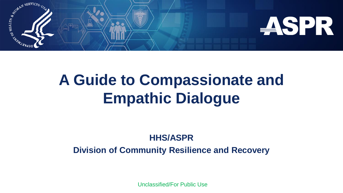

# **A Guide to Compassionate and Empathic Dialogue**

#### **HHS/ASPR**

**Division of Community Resilience and Recovery**

Unclassified/For Public Use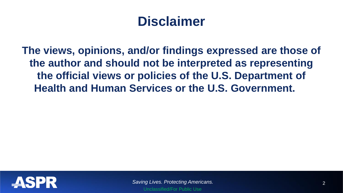## **Disclaimer**

**The views, opinions, and/or findings expressed are those of the author and should not be interpreted as representing the official views or policies of the U.S. Department of Health and Human Services or the U.S. Government.**

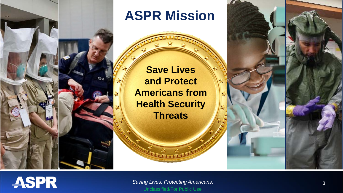

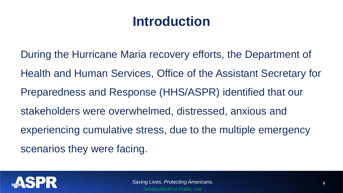## **Introduction**

During the Hurricane Maria recovery efforts, the Department of Health and Human Services, Office of the Assistant Secretary for Preparedness and Response (HHS/ASPR) identified that our stakeholders were overwhelmed, distressed, anxious and experiencing cumulative stress, due to the multiple emergency scenarios they were facing.

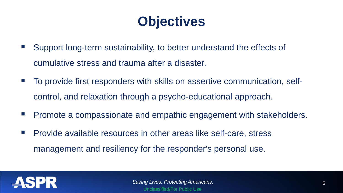## **Objectives**

- Support long-term sustainability, to better understand the effects of cumulative stress and trauma after a disaster.
- To provide first responders with skills on assertive communication, selfcontrol, and relaxation through a psycho-educational approach.
- **Promote a compassionate and empathic engagement with stakeholders.**
- **Provide available resources in other areas like self-care, stress** management and resiliency for the responder's personal use.

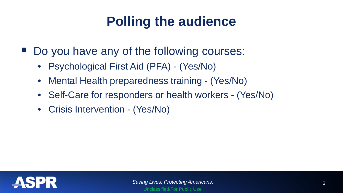## **Polling the audience**

- Do you have any of the following courses:
	- Psychological First Aid (PFA) (Yes/No)
	- Mental Health preparedness training (Yes/No)
	- Self-Care for responders or health workers (Yes/No)
	- Crisis Intervention (Yes/No)

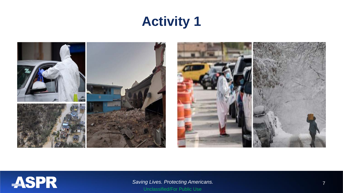## **Activity 1**



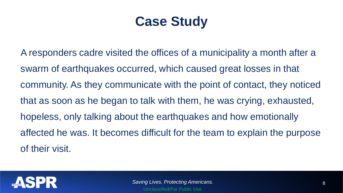## **Case Study**

A responders cadre visited the offices of a municipality a month after a swarm of earthquakes occurred, which caused great losses in that community. As they communicate with the point of contact, they noticed that as soon as he began to talk with them, he was crying, exhausted, hopeless, only talking about the earthquakes and how emotionally affected he was. It becomes difficult for the team to explain the purpose of their visit.

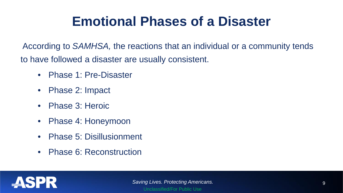## **Emotional Phases of a Disaster**

According to *SAMHSA,* the reactions that an individual or a community tends to have followed a disaster are usually consistent.

- Phase 1: Pre-Disaster
- Phase 2: Impact
- Phase 3: Heroic
- Phase 4: Honeymoon
- Phase 5: Disillusionment
- Phase 6: Reconstruction

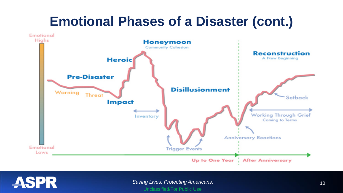## **Emotional Phases of a Disaster (cont.)**





**Saving Lives. Protecting Americans.** 10 and 10 and 10 and 10 and 10 and 10 and 10 and 10 and 10 and 10 and 10 and 10 and 10 and 10 and 10 and 10 and 10 and 10 and 10 and 10 and 10 and 10 and 10 and 10 and 10 and 10 and 10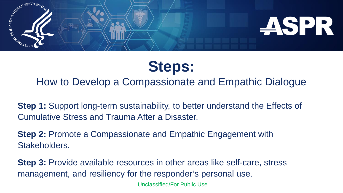

## **Steps:**

#### How to Develop a Compassionate and Empathic Dialogue

**Step 1:** Support long-term sustainability, to better understand the Effects of Cumulative Stress and Trauma After a Disaster.

**Step 2: Promote a Compassionate and Empathic Engagement with** Stakeholders.

**Step 3:** Provide available resources in other areas like self-care, stress management, and resiliency for the responder's personal use.

Unclassified/For Public Use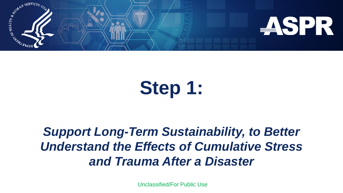

# **Step 1:**

## *Support Long-Term Sustainability, to Better Understand the Effects of Cumulative Stress and Trauma After a Disaster*

Unclassified/For Public Use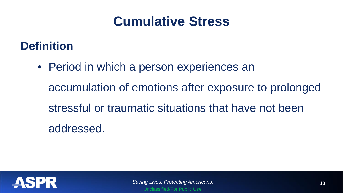## **Cumulative Stress**

## **Definition**

• Period in which a person experiences an accumulation of emotions after exposure to prolonged stressful or traumatic situations that have not been addressed.

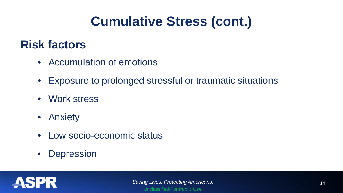## **Cumulative Stress (cont.)**

### **Risk factors**

- Accumulation of emotions
- Exposure to prolonged stressful or traumatic situations
- Work stress
- Anxiety
- Low socio-economic status
- Depression

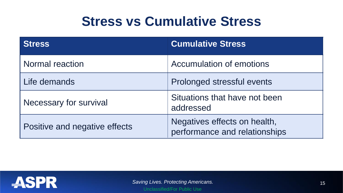## **Stress vs Cumulative Stress**

| <b>Stress</b>                 | <b>Cumulative Stress</b>                                      |
|-------------------------------|---------------------------------------------------------------|
| <b>Normal reaction</b>        | Accumulation of emotions                                      |
| Life demands                  | Prolonged stressful events                                    |
| Necessary for survival        | Situations that have not been<br>addressed                    |
| Positive and negative effects | Negatives effects on health,<br>performance and relationships |

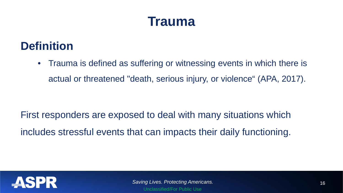## **Trauma**

## **Definition**

• Trauma is defined as suffering or witnessing events in which there is actual or threatened "death, serious injury, or violence" (APA, 2017).

First responders are exposed to deal with many situations which includes stressful events that can impacts their daily functioning.

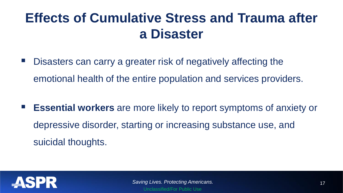## **Effects of Cumulative Stress and Trauma after a Disaster**

- Disasters can carry a greater risk of negatively affecting the emotional health of the entire population and services providers.
- **Essential workers** are more likely to report symptoms of anxiety or depressive disorder, starting or increasing substance use, and suicidal thoughts.

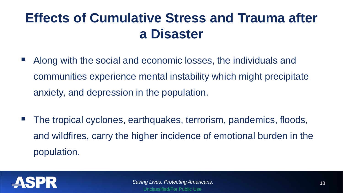## **Effects of Cumulative Stress and Trauma after a Disaster**

- Along with the social and economic losses, the individuals and communities experience mental instability which might precipitate anxiety, and depression in the population.
- The tropical cyclones, earthquakes, terrorism, pandemics, floods, and wildfires, carry the higher incidence of emotional burden in the population.

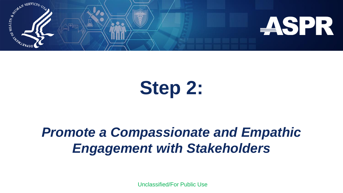

# **Step 2:**

## *Promote a Compassionate and Empathic Engagement with Stakeholders*

Unclassified/For Public Use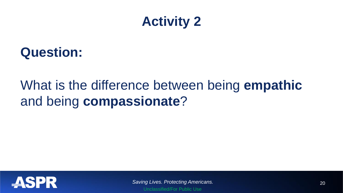

## **Question:**

## What is the difference between being **empathic**  and being **compassionate**?



*Saving Lives. Protecting Americans.* 20 Unclassified/For Public Use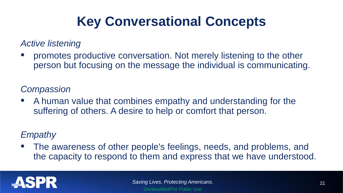## **Key Conversational Concepts**

#### *Active listening*

• promotes productive conversation. Not merely listening to the other person but focusing on the message the individual is communicating.

#### *Compassion*

• A human value that combines empathy and understanding for the suffering of others. A desire to help or comfort that person.

#### *Empathy*

• The awareness of other people's feelings, needs, and problems, and the capacity to respond to them and express that we have understood.

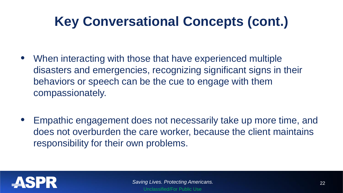## **Key Conversational Concepts (cont.)**

- When interacting with those that have experienced multiple disasters and emergencies, recognizing significant signs in their behaviors or speech can be the cue to engage with them compassionately.
- Empathic engagement does not necessarily take up more time, and does not overburden the care worker, because the client maintains responsibility for their own problems.

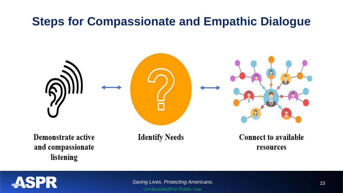## **Steps for Compassionate and Empathic Dialogue**



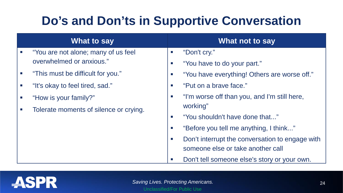## **Do's and Don'ts in Supportive Conversation**

| What to say                            |                             | What not to say                                 |
|----------------------------------------|-----------------------------|-------------------------------------------------|
| "You are not alone; many of us feel    | $\mathcal{L}_{\mathcal{A}}$ | "Don't cry."                                    |
| overwhelmed or anxious."               | $\mathcal{L}_{\mathcal{A}}$ | "You have to do your part."                     |
| "This must be difficult for you."      | $\mathcal{L}_{\mathcal{A}}$ | "You have everything! Others are worse off."    |
| "It's okay to feel tired, sad."        | $\mathcal{L}_{\mathcal{A}}$ | "Put on a brave face."                          |
| "How is your family?"                  | $\mathcal{L}_{\mathcal{A}}$ | "I'm worse off than you, and I'm still here,    |
| Tolerate moments of silence or crying. | working"                    |                                                 |
|                                        | $\mathcal{L}_{\mathcal{A}}$ | "You shouldn't have done that"                  |
|                                        | $\mathcal{L}_{\mathcal{A}}$ | "Before you tell me anything, I think"          |
|                                        | $\mathcal{L}_{\mathcal{A}}$ | Don't interrupt the conversation to engage with |
|                                        |                             | someone else or take another call               |
|                                        | $\mathbb{R}^n$              | Don't tell someone else's story or your own.    |

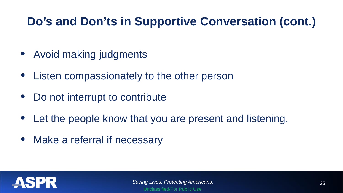## **Do's and Don'ts in Supportive Conversation (cont.)**

- Avoid making judgments
- Listen compassionately to the other person
- Do not interrupt to contribute
- Let the people know that you are present and listening.
- Make a referral if necessary

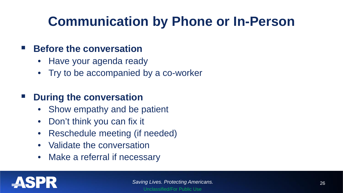## **Communication by Phone or In-Person**

#### **Before the conversation**

- Have your agenda ready
- Try to be accompanied by a co-worker

#### **P** During the conversation

- Show empathy and be patient
- Don't think you can fix it
- Reschedule meeting (if needed)
- Validate the conversation
- Make a referral if necessary

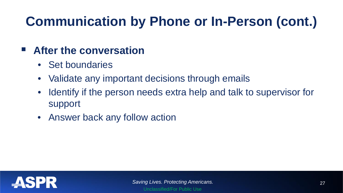## **Communication by Phone or In-Person (cont.)**

### **After the conversation**

- Set boundaries
- Validate any important decisions through emails
- Identify if the person needs extra help and talk to supervisor for support
- Answer back any follow action

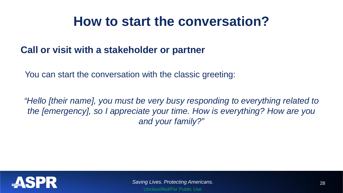## **How to start the conversation?**

#### **Call or visit with a stakeholder or partner**

You can start the conversation with the classic greeting:

*"Hello [their name], you must be very busy responding to everything related to the [emergency], so I appreciate your time. How is everything? How are you and your family?"*

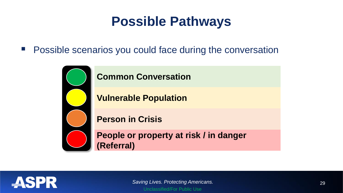## **Possible Pathways**

**Possible scenarios you could face during the conversation** 



#### **Common Conversation**

**Vulnerable Population**

**Person in Crisis**

**People or property at risk / in danger (Referral)**

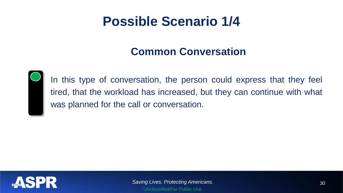## **Possible Scenario 1/4**

#### **Common Conversation**



In this type of conversation, the person could express that they feel tired, that the workload has increased, but they can continue with what was planned for the call or conversation.

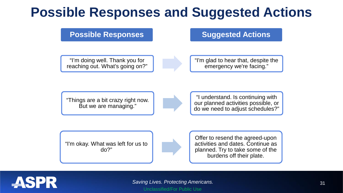## **Possible Responses and Suggested Actions**

**Possible Responses Suggested Actions** 

"I'm doing well. Thank you for reaching out. What's going on?"

"I'm glad to hear that, despite the emergency we're facing."

"Things are a bit crazy right now. But we are managing."

"I understand. Is continuing with our planned activities possible, or do we need to adjust schedules?"

"I'm okay. What was left for us to do?"

Offer to resend the agreed-upon activities and dates. Continue as planned. Try to take some of the burdens off their plate.



**Saving Lives. Protecting Americans.** 31 Unclassified/For Public Use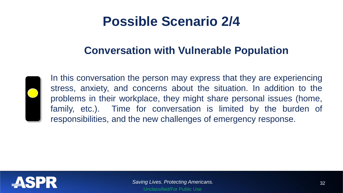## **Possible Scenario 2/4**

#### **Conversation with Vulnerable Population**



In this conversation the person may express that they are experiencing stress, anxiety, and concerns about the situation. In addition to the problems in their workplace, they might share personal issues (home, family, etc.). Time for conversation is limited by the burden of responsibilities, and the new challenges of emergency response.

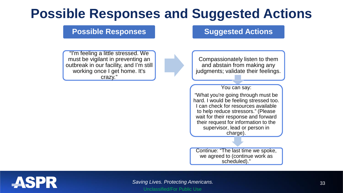## **Possible Responses and Suggested Actions**

#### **Possible Responses Suggested Actions**

"I'm feeling a little stressed. We must be vigilant in preventing an outbreak in our facility, and I'm still working once I get home. It's crazy."

Compassionately listen to them and abstain from making any judgments; validate their feelings.

You can say:

"What you're going through must be hard. I would be feeling stressed too. I can check for resources available to help reduce stressors." (Please wait for their response and forward their request for information to the supervisor, lead or person in charge).

Continue: "The last time we spoke, we agreed to (continue work as scheduled)."

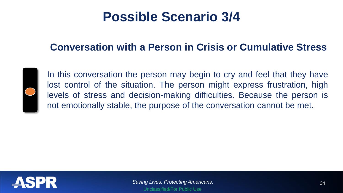## **Possible Scenario 3/4**

#### **Conversation with a Person in Crisis or Cumulative Stress**



In this conversation the person may begin to cry and feel that they have lost control of the situation. The person might express frustration, high levels of stress and decision-making difficulties. Because the person is not emotionally stable, the purpose of the conversation cannot be met.

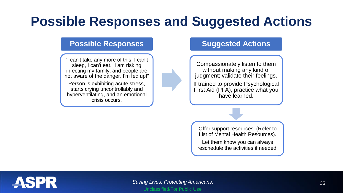## **Possible Responses and Suggested Actions**

#### **Possible Responses**

"I can't take any more of this; I can't sleep, I can't eat. I am risking infecting my family, and people are not aware of the danger. I'm fed up!"

Person is exhibiting acute stress, starts crying uncontrollably and hyperventilating, and an emotional crisis occurs.

#### **Suggested Actions**

Compassionately listen to them without making any kind of judgment; validate their feelings.

If trained to provide Psychological First Aid (PFA), practice what you have learned.

Offer support resources. (Refer to List of Mental Health Resources).

Let them know you can always reschedule the activities if needed.

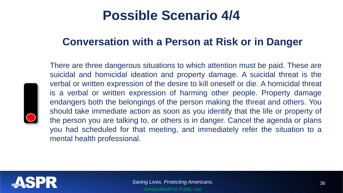## **Possible Scenario 4/4**

#### **Conversation with a Person at Risk or in Danger**



There are three dangerous situations to which attention must be paid. These are suicidal and homicidal ideation and property damage. A suicidal threat is the verbal or written expression of the desire to kill oneself or die. A homicidal threat is a verbal or written expression of harming other people. Property damage endangers both the belongings of the person making the threat and others. You should take immediate action as soon as you identify that the life or property of the person you are talking to, or others is in danger. Cancel the agenda or plans you had scheduled for that meeting, and immediately refer the situation to a mental health professional.

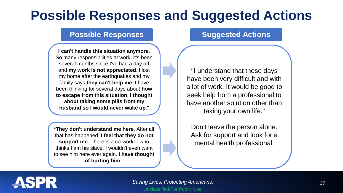## **Possible Responses and Suggested Actions**

#### **Possible Responses Suggested Actions**

**I can't handle this situation anymore**. So many responsibilities at work, it's been several months since I've had a day off and **my work is not appreciated**. I lost my home after the earthquakes and my family says **they can't help me**. I have been thinking for several days about **how to escape from this situation. I thought about taking some pills from my husband so I would never wake up**."

"**They don't understand me here**. After all that has happened, **I feel that they do not support me**. There is a co-worker who thinks I am his slave. I wouldn't even want to see him here ever again. **I have thought of hurting him**."

"I understand that these days have been very difficult and with a lot of work. It would be good to seek help from a professional to have another solution other than taking your own life."

Don't leave the person alone. Ask for support and look for a mental health professional.



**Saving Lives. Protecting Americans.** 37 Unclassified/For Public Use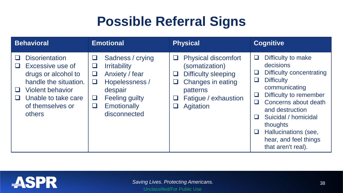## **Possible Referral Signs**

| <b>Behavioral</b>                                                                                                                                                                   | <b>Emotional</b>                                                                                                                                                          | <b>Physical</b>                                                                                                                                                           | <b>Cognitive</b>                                                                                                                                                                                                                                                                                           |  |
|-------------------------------------------------------------------------------------------------------------------------------------------------------------------------------------|---------------------------------------------------------------------------------------------------------------------------------------------------------------------------|---------------------------------------------------------------------------------------------------------------------------------------------------------------------------|------------------------------------------------------------------------------------------------------------------------------------------------------------------------------------------------------------------------------------------------------------------------------------------------------------|--|
| <b>Disorientation</b><br>Excessive use of<br>drugs or alcohol to<br>handle the situation.<br><b>Violent behavior</b><br>$\Box$<br>Unable to take care<br>of themselves or<br>others | Sadness / crying<br>⊔<br><b>Irritability</b><br>Anxiety / fear<br>⊔<br>Hopelessness /<br>⊔<br>despair<br><b>Feeling guilty</b><br>⊔<br><b>Emotionally</b><br>disconnected | <b>Physical discomfort</b><br>$\Box$<br>(somatization)<br><b>Difficulty sleeping</b><br>⊔<br>Changes in eating<br>⊔<br>patterns<br>Fatigue / exhaustion<br>⊔<br>Agitation | Difficulty to make<br>❏<br>decisions<br>Difficulty concentrating<br><b>Difficulty</b><br>ப<br>communicating<br>Difficulty to remember<br>⊔<br>Concerns about death<br>ப<br>and destruction<br>Suicidal / homicidal<br>thoughts<br>Hallucinations (see,<br>u<br>hear, and feel things<br>that aren't real). |  |

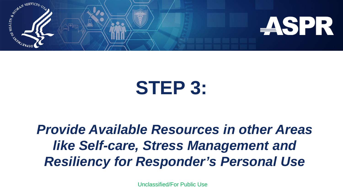

# **STEP 3:**

## *Provide Available Resources in other Areas like Self-care, Stress Management and Resiliency for Responder's Personal Use*

Unclassified/For Public Use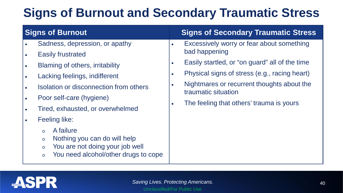## **Signs of Burnout and Secondary Traumatic Stress**

| <b>Signs of Burnout</b> |                                                                                                                                                                                                                                                                                                                                                                                                                               |                                                               | <b>Signs of Secondary Traumatic Stress</b>                                                                                                                                                                                                                                     |
|-------------------------|-------------------------------------------------------------------------------------------------------------------------------------------------------------------------------------------------------------------------------------------------------------------------------------------------------------------------------------------------------------------------------------------------------------------------------|---------------------------------------------------------------|--------------------------------------------------------------------------------------------------------------------------------------------------------------------------------------------------------------------------------------------------------------------------------|
|                         | Sadness, depression, or apathy<br><b>Easily frustrated</b><br>Blaming of others, irritability<br>Lacking feelings, indifferent<br>Isolation or disconnection from others<br>Poor self-care (hygiene)<br>Tired, exhausted, or overwhelmed<br>Feeling like:<br>A failure<br>$\circ$<br>Nothing you can do will help<br>$\circ$<br>You are not doing your job well<br>$\circ$<br>You need alcohol/other drugs to cope<br>$\circ$ | $\bullet$<br>$\bullet$<br>$\bullet$<br>$\bullet$<br>$\bullet$ | Excessively worry or fear about something<br>bad happening<br>Easily startled, or "on guard" all of the time<br>Physical signs of stress (e.g., racing heart)<br>Nightmares or recurrent thoughts about the<br>traumatic situation<br>The feeling that others' trauma is yours |

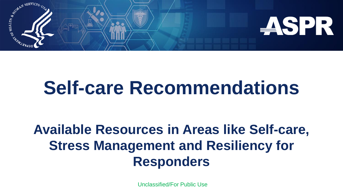

# **Self-care Recommendations**

## **Available Resources in Areas like Self-care, Stress Management and Resiliency for Responders**

Unclassified/For Public Use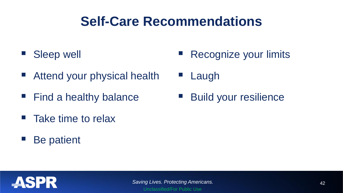## **Self-Care Recommendations**

- Sleep well
- Attend your physical health
- $\blacksquare$  Find a healthy balance
- Take time to relax
- Be patient
- Recognize your limits
- Laugh
- Build your resilience

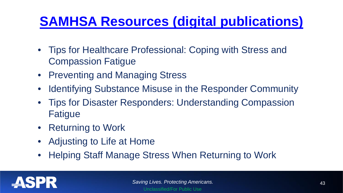## **[SAMHSA Resources \(digital publications\)](https://store.samhsa.gov/?v=professional_and_research_topics&f%5b0%5d=population_group:5298)**

- Tips for Healthcare Professional: Coping with Stress and Compassion Fatigue
- Preventing and Managing Stress
- Identifying Substance Misuse in the Responder Community
- Tips for Disaster Responders: Understanding Compassion Fatigue
- Returning to Work
- Adjusting to Life at Home
- Helping Staff Manage Stress When Returning to Work

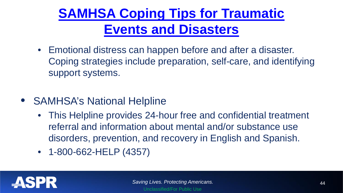## **[SAMHSA Coping Tips for Traumatic](https://www.samhsa.gov/find-help/disaster-distress-helpline/coping-tips) Events and Disasters**

- Emotional distress can happen before and after a disaster. Coping strategies include preparation, self-care, and identifying support systems.
- SAMHSA's National Helpline
	- This Helpline provides 24-hour free and confidential treatment referral and information about mental and/or substance use disorders, prevention, and recovery in English and Spanish.
	- 1-800-662-HELP (4357)

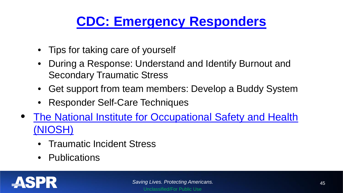## **[CDC: Emergency Responders](https://emergency.cdc.gov/coping/responders.asp)**

- Tips for taking care of yourself
- During a Response: Understand and Identify Burnout and Secondary Traumatic Stress
- Get support from team members: Develop a Buddy System
- Responder Self-Care Techniques
- The National Institute for Occupational Safety and Health (NIOSH)
	- Traumatic Incident Stress
	- Publications

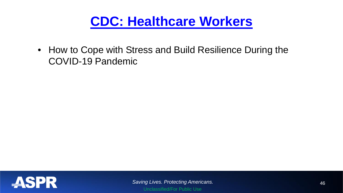## **[CDC: Healthcare Workers](https://www.cdc.gov/coronavirus/2019-ncov/hcp/mental-health-healthcare.html)**

• How to Cope with Stress and Build Resilience During the COVID-19 Pandemic

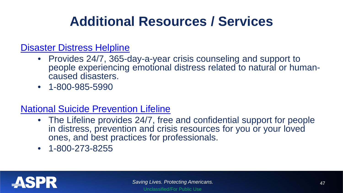## **Additional Resources / Services**

#### [Disaster Distress Helpline](https://www.samhsa.gov/find-help/disaster-distress-helpline)

- Provides 24/7, 365-day-a-year crisis counseling and support to people experiencing emotional distress related to natural or human- caused disasters.
- 1-800-985-5990

#### [National Suicide Prevention Lifeline](https://suicidepreventionlifeline.org/)

- The Lifeline provides 24/7, free and confidential support for people in distress, prevention and crisis resources for you or your loved ones, and best practices for professionals.
- 1-800-273-8255

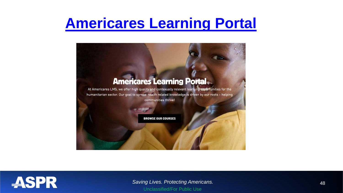## **[Americares Learning Portal](https://lms.americares.org/)**



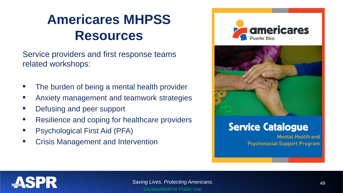## **Americares MHPSS Resources**

Service providers and first response teams related workshops:

- The burden of being a mental health provider
- Anxiety management and teamwork strategies
- Defusing and peer support
- Resilience and coping for healthcare providers
- Psychological First Aid (PFA)
- Crisis Management and Intervention





#### **Service Catalogue**

Mental Health and **Psychosocial Support Program** 

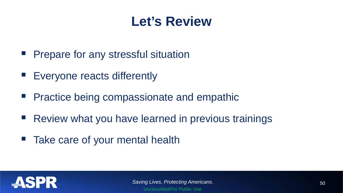## **Let's Review**

- **Prepare for any stressful situation**
- **Exeryone reacts differently**
- **Practice being compassionate and empathic**
- Review what you have learned in previous trainings
- Take care of your mental health

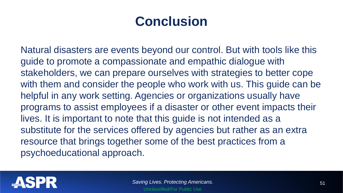## **Conclusion**

Natural disasters are events beyond our control. But with tools like this guide to promote a compassionate and empathic dialogue with stakeholders, we can prepare ourselves with strategies to better cope with them and consider the people who work with us. This guide can be helpful in any work setting. Agencies or organizations usually have programs to assist employees if a disaster or other event impacts their lives. It is important to note that this guide is not intended as a substitute for the services offered by agencies but rather as an extra resource that brings together some of the best practices from a psychoeducational approach.

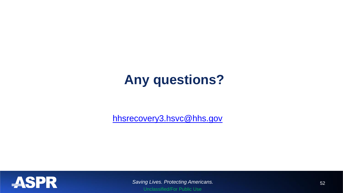## **Any questions?**

[hhsrecovery3.hsvc@hhs.gov](mailto:hhsrecovery3.hsvc@hhs.gov)



*Saving Lives. Protecting Americans.* 52 Unclassified/For Public Use